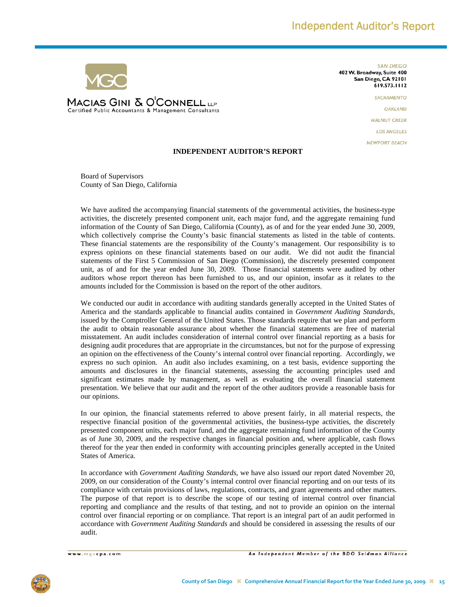

**SAN DIEGO** 402 W. Broadway, Suite 400 San Diego, CA 92101 619.573.1112

> SACRAMENTO **OAKLAND WALNUT CREEK LOS ANGELES** NEWPORT BEACH

## **INDEPENDENT AUDITOR'S REPORT**

Board of Supervisors County of San Diego, California

We have audited the accompanying financial statements of the governmental activities, the business-type activities, the discretely presented component unit, each major fund, and the aggregate remaining fund information of the County of San Diego, California (County), as of and for the year ended June 30, 2009, which collectively comprise the County's basic financial statements as listed in the table of contents. These financial statements are the responsibility of the County's management. Our responsibility is to express opinions on these financial statements based on our audit. We did not audit the financial statements of the First 5 Commission of San Diego (Commission), the discretely presented component unit, as of and for the year ended June 30, 2009. Those financial statements were audited by other auditors whose report thereon has been furnished to us, and our opinion, insofar as it relates to the amounts included for the Commission is based on the report of the other auditors.

We conducted our audit in accordance with auditing standards generally accepted in the United States of America and the standards applicable to financial audits contained in *Government Auditing Standards*, issued by the Comptroller General of the United States. Those standards require that we plan and perform the audit to obtain reasonable assurance about whether the financial statements are free of material misstatement. An audit includes consideration of internal control over financial reporting as a basis for designing audit procedures that are appropriate in the circumstances, but not for the purpose of expressing an opinion on the effectiveness of the County's internal control over financial reporting. Accordingly, we express no such opinion. An audit also includes examining, on a test basis, evidence supporting the amounts and disclosures in the financial statements, assessing the accounting principles used and significant estimates made by management, as well as evaluating the overall financial statement presentation. We believe that our audit and the report of the other auditors provide a reasonable basis for our opinions.

In our opinion, the financial statements referred to above present fairly, in all material respects, the respective financial position of the governmental activities, the business-type activities, the discretely presented component units, each major fund, and the aggregate remaining fund information of the County as of June 30, 2009, and the respective changes in financial position and, where applicable, cash flows thereof for the year then ended in conformity with accounting principles generally accepted in the United States of America.

In accordance with *Government Auditing Standards*, we have also issued our report dated November 20, 2009, on our consideration of the County's internal control over financial reporting and on our tests of its compliance with certain provisions of laws, regulations, contracts, and grant agreements and other matters. The purpose of that report is to describe the scope of our testing of internal control over financial reporting and compliance and the results of that testing, and not to provide an opinion on the internal control over financial reporting or on compliance. That report is an integral part of an audit performed in accordance with *Government Auditing Standards* and should be considered in assessing the results of our audit.

www.mgocpa.com